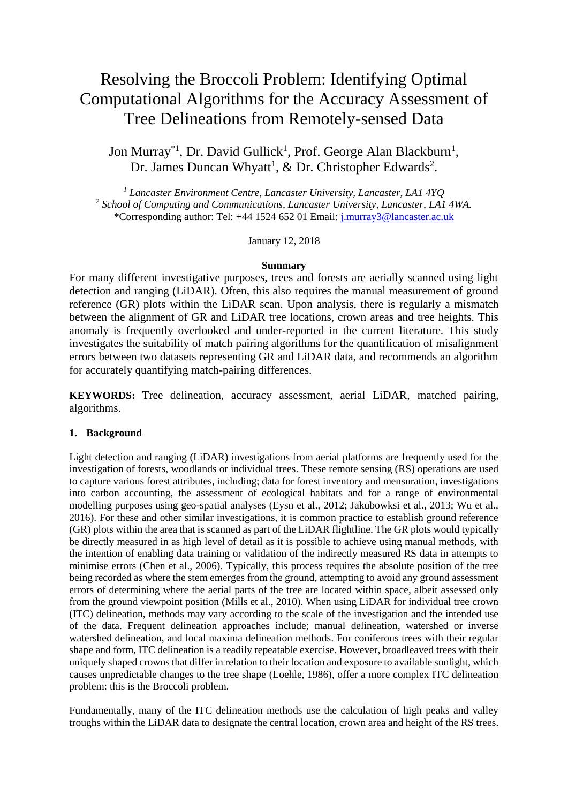# Resolving the Broccoli Problem: Identifying Optimal Computational Algorithms for the Accuracy Assessment of Tree Delineations from Remotely-sensed Data

Jon Murray<sup>\*1</sup>, Dr. David Gullick<sup>1</sup>, Prof. George Alan Blackburn<sup>1</sup>, Dr. James Duncan Whyatt<sup>1</sup>, & Dr. Christopher Edwards<sup>2</sup>.

*<sup>1</sup> Lancaster Environment Centre, Lancaster University, Lancaster, LA1 4YQ 2 School of Computing and Communications, Lancaster University, Lancaster, LA1 4WA.* \*Corresponding author: Tel: +44 1524 652 01 Email: [j.murray3@lancaster.ac.uk](mailto:foresj@oup.com)

January 12, 2018

#### **Summary**

For many different investigative purposes, trees and forests are aerially scanned using light detection and ranging (LiDAR). Often, this also requires the manual measurement of ground reference (GR) plots within the LiDAR scan. Upon analysis, there is regularly a mismatch between the alignment of GR and LiDAR tree locations, crown areas and tree heights. This anomaly is frequently overlooked and under-reported in the current literature. This study investigates the suitability of match pairing algorithms for the quantification of misalignment errors between two datasets representing GR and LiDAR data, and recommends an algorithm for accurately quantifying match-pairing differences.

**KEYWORDS:** Tree delineation, accuracy assessment, aerial LiDAR, matched pairing, algorithms.

# **1. Background**

Light detection and ranging (LiDAR) investigations from aerial platforms are frequently used for the investigation of forests, woodlands or individual trees. These remote sensing (RS) operations are used to capture various forest attributes, including; data for forest inventory and mensuration, investigations into carbon accounting, the assessment of ecological habitats and for a range of environmental modelling purposes using geo-spatial analyses (Eysn et al., 2012; Jakubowksi et al., 2013; Wu et al., 2016). For these and other similar investigations, it is common practice to establish ground reference (GR) plots within the area that is scanned as part of the LiDAR flightline. The GR plots would typically be directly measured in as high level of detail as it is possible to achieve using manual methods, with the intention of enabling data training or validation of the indirectly measured RS data in attempts to minimise errors (Chen et al., 2006). Typically, this process requires the absolute position of the tree being recorded as where the stem emerges from the ground, attempting to avoid any ground assessment errors of determining where the aerial parts of the tree are located within space, albeit assessed only from the ground viewpoint position (Mills et al., 2010). When using LiDAR for individual tree crown (ITC) delineation, methods may vary according to the scale of the investigation and the intended use of the data. Frequent delineation approaches include; manual delineation, watershed or inverse watershed delineation, and local maxima delineation methods. For coniferous trees with their regular shape and form, ITC delineation is a readily repeatable exercise. However, broadleaved trees with their uniquely shaped crowns that differ in relation to their location and exposure to available sunlight, which causes unpredictable changes to the tree shape (Loehle, 1986), offer a more complex ITC delineation problem: this is the Broccoli problem.

Fundamentally, many of the ITC delineation methods use the calculation of high peaks and valley troughs within the LiDAR data to designate the central location, crown area and height of the RS trees.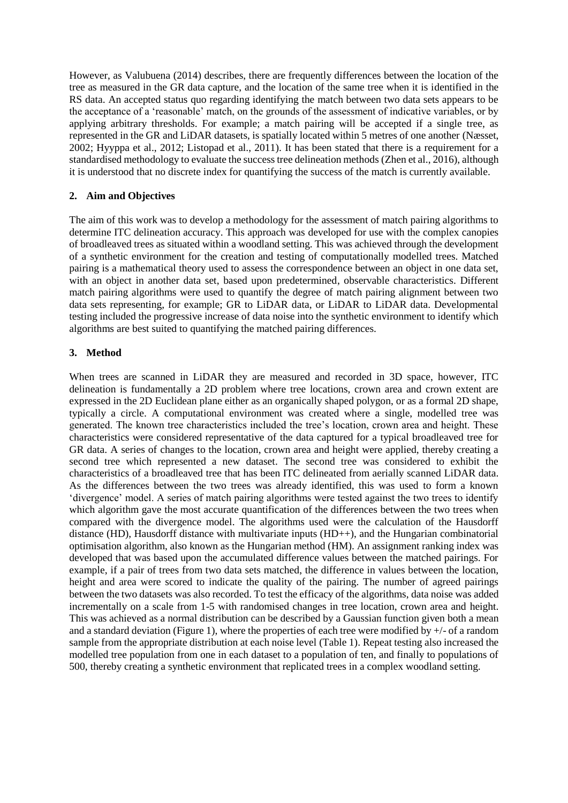However, as Valubuena (2014) describes, there are frequently differences between the location of the tree as measured in the GR data capture, and the location of the same tree when it is identified in the RS data. An accepted status quo regarding identifying the match between two data sets appears to be the acceptance of a 'reasonable' match, on the grounds of the assessment of indicative variables, or by applying arbitrary thresholds. For example; a match pairing will be accepted if a single tree, as represented in the GR and LiDAR datasets, is spatially located within 5 metres of one another (Næsset, 2002; Hyyppa et al., 2012; Listopad et al., 2011). It has been stated that there is a requirement for a standardised methodology to evaluate the success tree delineation methods (Zhen et al., 2016), although it is understood that no discrete index for quantifying the success of the match is currently available.

## **2. Aim and Objectives**

The aim of this work was to develop a methodology for the assessment of match pairing algorithms to determine ITC delineation accuracy. This approach was developed for use with the complex canopies of broadleaved trees as situated within a woodland setting. This was achieved through the development of a synthetic environment for the creation and testing of computationally modelled trees. Matched pairing is a mathematical theory used to assess the correspondence between an object in one data set, with an object in another data set, based upon predetermined, observable characteristics. Different match pairing algorithms were used to quantify the degree of match pairing alignment between two data sets representing, for example; GR to LiDAR data, or LiDAR to LiDAR data. Developmental testing included the progressive increase of data noise into the synthetic environment to identify which algorithms are best suited to quantifying the matched pairing differences.

# **3. Method**

When trees are scanned in LiDAR they are measured and recorded in 3D space, however, ITC delineation is fundamentally a 2D problem where tree locations, crown area and crown extent are expressed in the 2D Euclidean plane either as an organically shaped polygon, or as a formal 2D shape, typically a circle. A computational environment was created where a single, modelled tree was generated. The known tree characteristics included the tree's location, crown area and height. These characteristics were considered representative of the data captured for a typical broadleaved tree for GR data. A series of changes to the location, crown area and height were applied, thereby creating a second tree which represented a new dataset. The second tree was considered to exhibit the characteristics of a broadleaved tree that has been ITC delineated from aerially scanned LiDAR data. As the differences between the two trees was already identified, this was used to form a known 'divergence' model. A series of match pairing algorithms were tested against the two trees to identify which algorithm gave the most accurate quantification of the differences between the two trees when compared with the divergence model. The algorithms used were the calculation of the Hausdorff distance (HD), Hausdorff distance with multivariate inputs (HD++), and the Hungarian combinatorial optimisation algorithm, also known as the Hungarian method (HM). An assignment ranking index was developed that was based upon the accumulated difference values between the matched pairings. For example, if a pair of trees from two data sets matched, the difference in values between the location, height and area were scored to indicate the quality of the pairing. The number of agreed pairings between the two datasets was also recorded. To test the efficacy of the algorithms, data noise was added incrementally on a scale from 1-5 with randomised changes in tree location, crown area and height. This was achieved as a normal distribution can be described by a Gaussian function given both a mean and a standard deviation [\(Figure 1\)](#page-2-0), where the properties of each tree were modified by  $+/-$  of a random sample from the appropriate distribution at each noise level [\(Table 1\)](#page-2-1). Repeat testing also increased the modelled tree population from one in each dataset to a population of ten, and finally to populations of 500, thereby creating a synthetic environment that replicated trees in a complex woodland setting.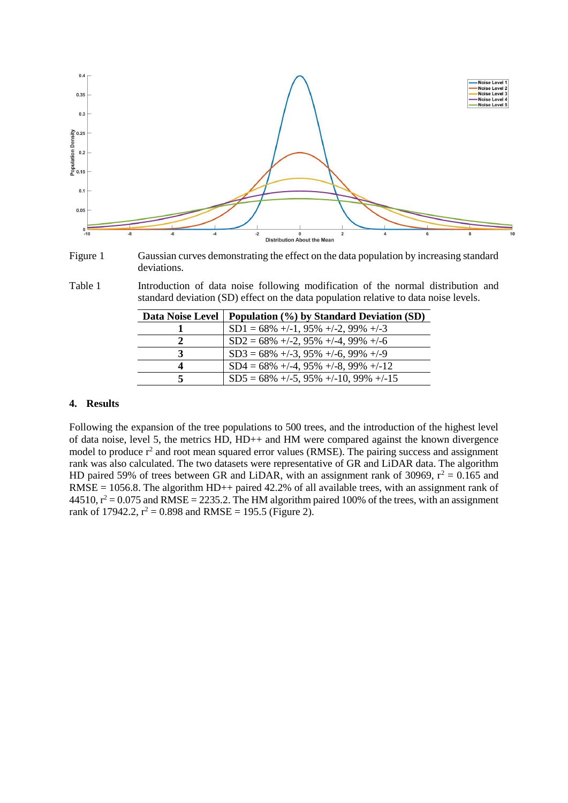

<span id="page-2-0"></span>

<span id="page-2-1"></span>Table 1 Introduction of data noise following modification of the normal distribution and standard deviation (SD) effect on the data population relative to data noise levels.

| Data Noise Level | Population (%) by Standard Deviation (SD)           |
|------------------|-----------------------------------------------------|
|                  | $SD1 = 68\% + (-1, 95\% + (-2, 99\% + (-3, 95\%)))$ |
| 2                | $SD2 = 68\% + (-2, 95\% + (-4, 99\% + (-6, 95\%)))$ |
| 3                | $SD3 = 68\% + (-3, 95\% + (-6, 99\% + (-9$          |
| 4                | $SD4 = 68\% + (-4, 95\% + (-8, 99\% + (-12)$        |
|                  | $SD5 = 68\% + (-5, 95\% + (-10, 99\% + (-15))$      |

# **4. Results**

Following the expansion of the tree populations to 500 trees, and the introduction of the highest level of data noise, level 5, the metrics HD, HD++ and HM were compared against the known divergence model to produce  $r^2$  and root mean squared error values (RMSE). The pairing success and assignment rank was also calculated. The two datasets were representative of GR and LiDAR data. The algorithm HD paired 59% of trees between GR and LiDAR, with an assignment rank of 30969,  $r^2 = 0.165$  and  $RMSE = 1056.8$ . The algorithm HD++ paired 42.2% of all available trees, with an assignment rank of  $44510$ ,  $r^2 = 0.075$  and RMSE = 2235.2. The HM algorithm paired 100% of the trees, with an assignment rank of 17942.2,  $r^2 = 0.898$  and RMSE = 195.5 [\(Figure 2\)](#page-3-0).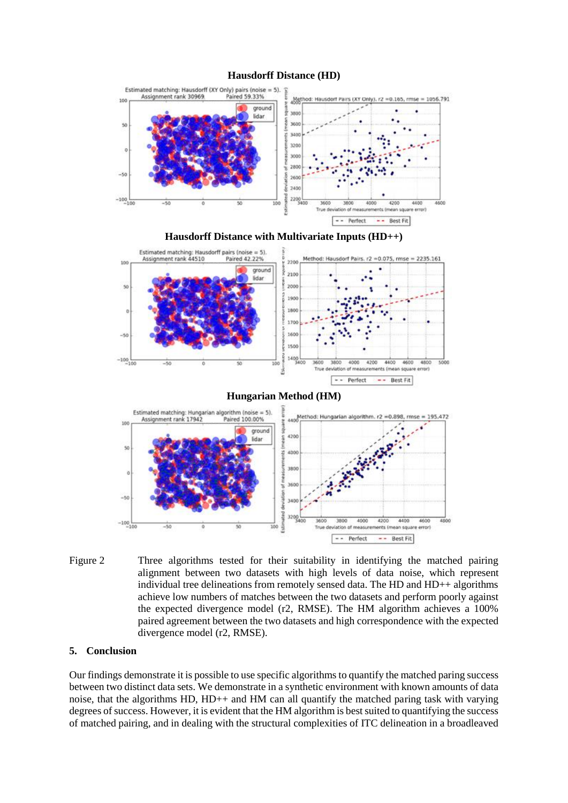#### **Hausdorff Distance (HD)**



<span id="page-3-0"></span>Figure 2 Three algorithms tested for their suitability in identifying the matched pairing alignment between two datasets with high levels of data noise, which represent individual tree delineations from remotely sensed data. The HD and HD++ algorithms achieve low numbers of matches between the two datasets and perform poorly against the expected divergence model (r2, RMSE). The HM algorithm achieves a 100% paired agreement between the two datasets and high correspondence with the expected divergence model (r2, RMSE).

-- Perfect

-- Best Fit

#### **5. Conclusion**

Our findings demonstrate it is possible to use specific algorithms to quantify the matched paring success between two distinct data sets. We demonstrate in a synthetic environment with known amounts of data noise, that the algorithms HD, HD++ and HM can all quantify the matched paring task with varying degrees of success. However, it is evident that the HM algorithm is best suited to quantifying the success of matched pairing, and in dealing with the structural complexities of ITC delineation in a broadleaved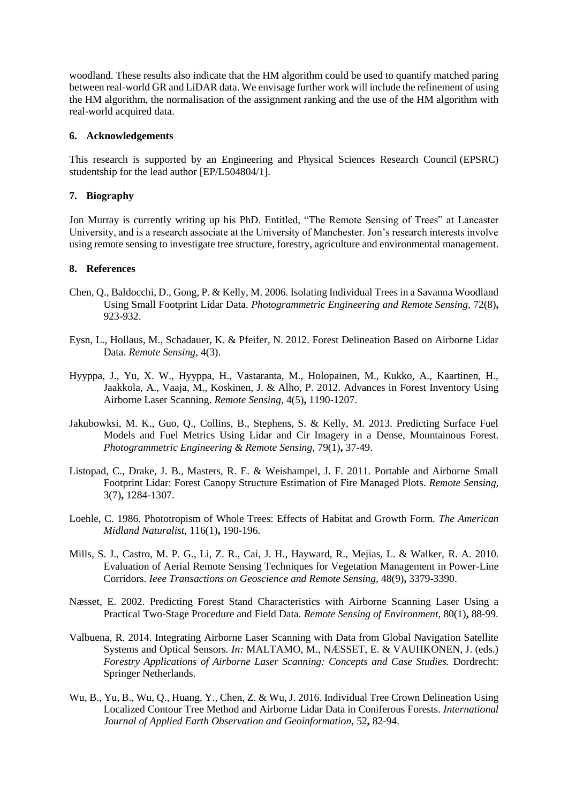woodland. These results also indicate that the HM algorithm could be used to quantify matched paring between real-world GR and LiDAR data. We envisage further work will include the refinement of using the HM algorithm, the normalisation of the assignment ranking and the use of the HM algorithm with real-world acquired data.

### **6. Acknowledgements**

This research is supported by an Engineering and Physical Sciences Research Council (EPSRC) studentship for the lead author [EP/L504804/1].

## **7. Biography**

Jon Murray is currently writing up his PhD. Entitled, "The Remote Sensing of Trees" at Lancaster University, and is a research associate at the University of Manchester. Jon's research interests involve using remote sensing to investigate tree structure, forestry, agriculture and environmental management.

## **8. References**

- Chen, Q., Baldocchi, D., Gong, P. & Kelly, M. 2006. Isolating Individual Trees in a Savanna Woodland Using Small Footprint Lidar Data. *Photogrammetric Engineering and Remote Sensing,* 72(8)**,** 923-932.
- Eysn, L., Hollaus, M., Schadauer, K. & Pfeifer, N. 2012. Forest Delineation Based on Airborne Lidar Data. *Remote Sensing,* 4(3).
- Hyyppa, J., Yu, X. W., Hyyppa, H., Vastaranta, M., Holopainen, M., Kukko, A., Kaartinen, H., Jaakkola, A., Vaaja, M., Koskinen, J. & Alho, P. 2012. Advances in Forest Inventory Using Airborne Laser Scanning. *Remote Sensing,* 4(5)**,** 1190-1207.
- Jakubowksi, M. K., Guo, Q., Collins, B., Stephens, S. & Kelly, M. 2013. Predicting Surface Fuel Models and Fuel Metrics Using Lidar and Cir Imagery in a Dense, Mountainous Forest. *Photogrammetric Engineering & Remote Sensing,* 79(1)**,** 37-49.
- Listopad, C., Drake, J. B., Masters, R. E. & Weishampel, J. F. 2011. Portable and Airborne Small Footprint Lidar: Forest Canopy Structure Estimation of Fire Managed Plots. *Remote Sensing,* 3(7)**,** 1284-1307.
- Loehle, C. 1986. Phototropism of Whole Trees: Effects of Habitat and Growth Form. *The American Midland Naturalist,* 116(1)**,** 190-196.
- Mills, S. J., Castro, M. P. G., Li, Z. R., Cai, J. H., Hayward, R., Mejias, L. & Walker, R. A. 2010. Evaluation of Aerial Remote Sensing Techniques for Vegetation Management in Power-Line Corridors. *Ieee Transactions on Geoscience and Remote Sensing,* 48(9)**,** 3379-3390.
- Næsset, E. 2002. Predicting Forest Stand Characteristics with Airborne Scanning Laser Using a Practical Two-Stage Procedure and Field Data. *Remote Sensing of Environment,* 80(1)**,** 88-99.
- Valbuena, R. 2014. Integrating Airborne Laser Scanning with Data from Global Navigation Satellite Systems and Optical Sensors. *In:* MALTAMO, M., NÆSSET, E. & VAUHKONEN, J. (eds.) *Forestry Applications of Airborne Laser Scanning: Concepts and Case Studies.* Dordrecht: Springer Netherlands.
- Wu, B., Yu, B., Wu, Q., Huang, Y., Chen, Z. & Wu, J. 2016. Individual Tree Crown Delineation Using Localized Contour Tree Method and Airborne Lidar Data in Coniferous Forests. *International Journal of Applied Earth Observation and Geoinformation,* 52**,** 82-94.